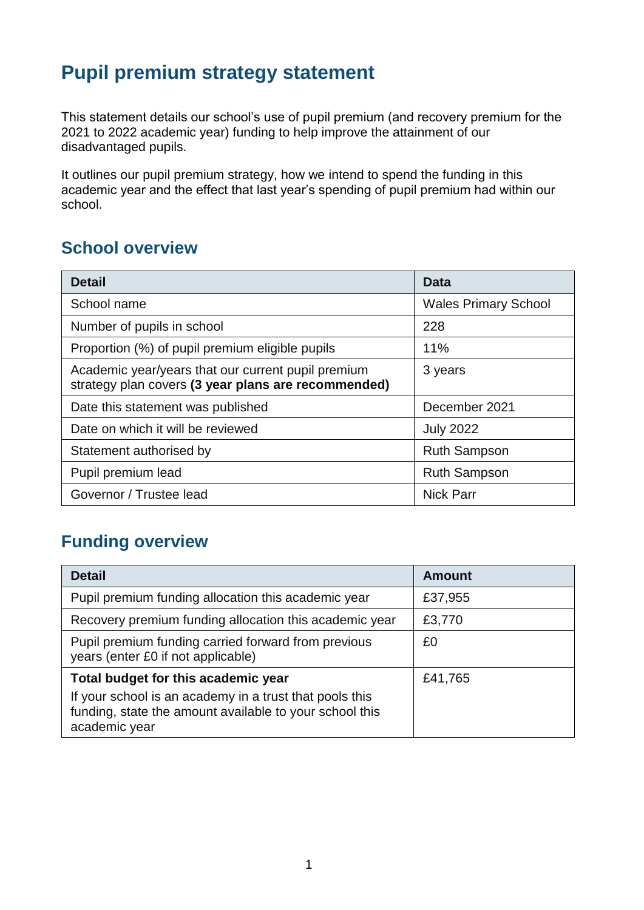## **Pupil premium strategy statement**

This statement details our school's use of pupil premium (and recovery premium for the 2021 to 2022 academic year) funding to help improve the attainment of our disadvantaged pupils.

It outlines our pupil premium strategy, how we intend to spend the funding in this academic year and the effect that last year's spending of pupil premium had within our school.

### **School overview**

| <b>Detail</b>                                                                                             | Data                        |
|-----------------------------------------------------------------------------------------------------------|-----------------------------|
| School name                                                                                               | <b>Wales Primary School</b> |
| Number of pupils in school                                                                                | 228                         |
| Proportion (%) of pupil premium eligible pupils                                                           | 11%                         |
| Academic year/years that our current pupil premium<br>strategy plan covers (3 year plans are recommended) | 3 years                     |
| Date this statement was published                                                                         | December 2021               |
| Date on which it will be reviewed                                                                         | <b>July 2022</b>            |
| Statement authorised by                                                                                   | <b>Ruth Sampson</b>         |
| Pupil premium lead                                                                                        | <b>Ruth Sampson</b>         |
| Governor / Trustee lead                                                                                   | <b>Nick Parr</b>            |

### **Funding overview**

| <b>Detail</b>                                                                                                                       | <b>Amount</b> |  |
|-------------------------------------------------------------------------------------------------------------------------------------|---------------|--|
| Pupil premium funding allocation this academic year                                                                                 | £37,955       |  |
| Recovery premium funding allocation this academic year                                                                              | £3,770        |  |
| Pupil premium funding carried forward from previous<br>years (enter £0 if not applicable)                                           | £0            |  |
| Total budget for this academic year                                                                                                 | £41,765       |  |
| If your school is an academy in a trust that pools this<br>funding, state the amount available to your school this<br>academic year |               |  |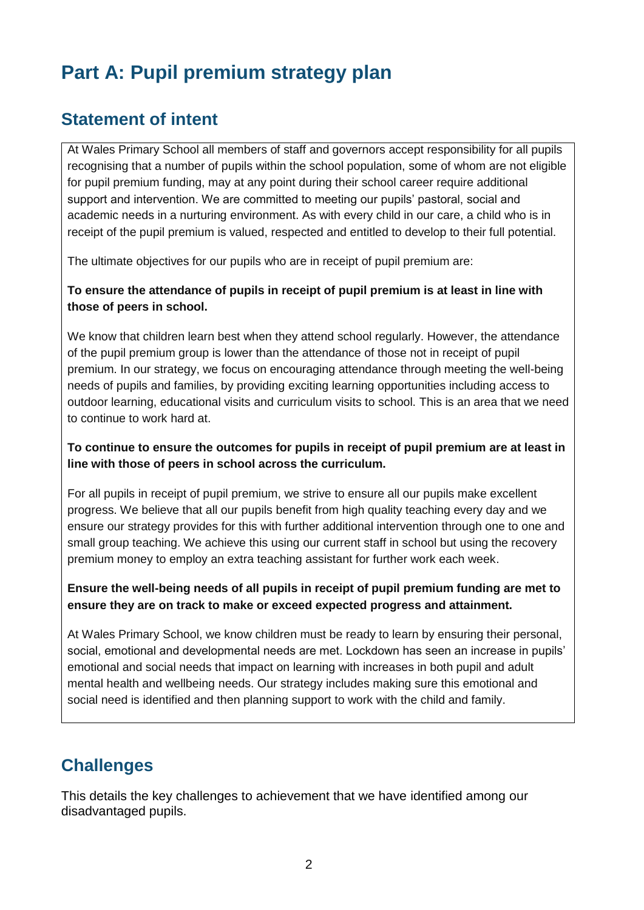# **Part A: Pupil premium strategy plan**

#### **Statement of intent**

At Wales Primary School all members of staff and governors accept responsibility for all pupils recognising that a number of pupils within the school population, some of whom are not eligible for pupil premium funding, may at any point during their school career require additional support and intervention. We are committed to meeting our pupils' pastoral, social and academic needs in a nurturing environment. As with every child in our care, a child who is in receipt of the pupil premium is valued, respected and entitled to develop to their full potential.

The ultimate objectives for our pupils who are in receipt of pupil premium are:

#### **To ensure the attendance of pupils in receipt of pupil premium is at least in line with those of peers in school.**

We know that children learn best when they attend school regularly. However, the attendance of the pupil premium group is lower than the attendance of those not in receipt of pupil premium. In our strategy, we focus on encouraging attendance through meeting the well-being needs of pupils and families, by providing exciting learning opportunities including access to outdoor learning, educational visits and curriculum visits to school. This is an area that we need to continue to work hard at.

#### **To continue to ensure the outcomes for pupils in receipt of pupil premium are at least in line with those of peers in school across the curriculum.**

For all pupils in receipt of pupil premium, we strive to ensure all our pupils make excellent progress. We believe that all our pupils benefit from high quality teaching every day and we ensure our strategy provides for this with further additional intervention through one to one and small group teaching. We achieve this using our current staff in school but using the recovery premium money to employ an extra teaching assistant for further work each week.

#### **Ensure the well-being needs of all pupils in receipt of pupil premium funding are met to ensure they are on track to make or exceed expected progress and attainment.**

At Wales Primary School, we know children must be ready to learn by ensuring their personal, social, emotional and developmental needs are met. Lockdown has seen an increase in pupils' emotional and social needs that impact on learning with increases in both pupil and adult mental health and wellbeing needs. Our strategy includes making sure this emotional and social need is identified and then planning support to work with the child and family.

#### **Challenges**

This details the key challenges to achievement that we have identified among our disadvantaged pupils.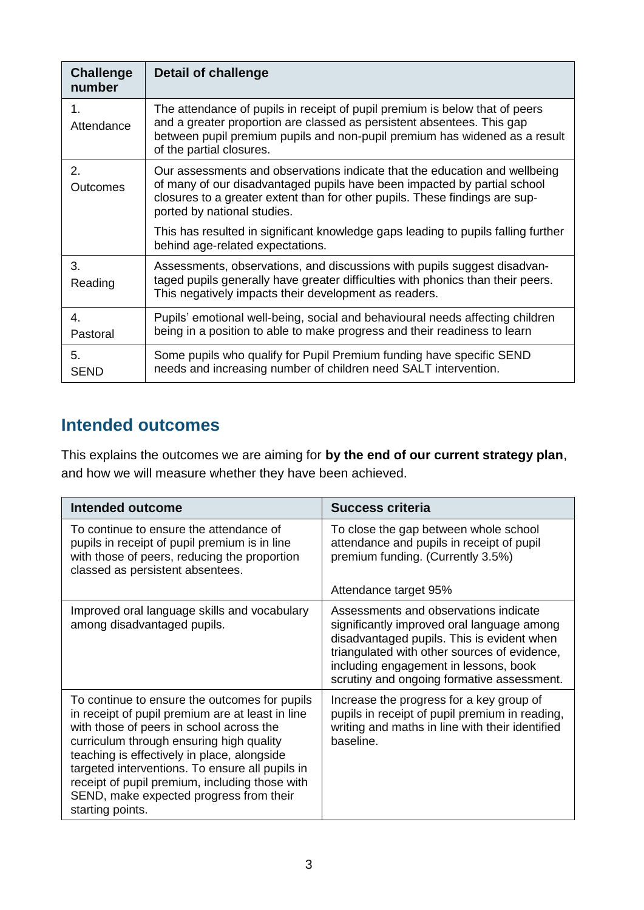| <b>Challenge</b><br>number | Detail of challenge                                                                                                                                                                                                                                                  |
|----------------------------|----------------------------------------------------------------------------------------------------------------------------------------------------------------------------------------------------------------------------------------------------------------------|
| 1.<br>Attendance           | The attendance of pupils in receipt of pupil premium is below that of peers<br>and a greater proportion are classed as persistent absentees. This gap<br>between pupil premium pupils and non-pupil premium has widened as a result<br>of the partial closures.      |
| 2.<br><b>Outcomes</b>      | Our assessments and observations indicate that the education and wellbeing<br>of many of our disadvantaged pupils have been impacted by partial school<br>closures to a greater extent than for other pupils. These findings are sup-<br>ported by national studies. |
|                            | This has resulted in significant knowledge gaps leading to pupils falling further<br>behind age-related expectations.                                                                                                                                                |
| 3.<br>Reading              | Assessments, observations, and discussions with pupils suggest disadvan-<br>taged pupils generally have greater difficulties with phonics than their peers.<br>This negatively impacts their development as readers.                                                 |
| 4.<br>Pastoral             | Pupils' emotional well-being, social and behavioural needs affecting children<br>being in a position to able to make progress and their readiness to learn                                                                                                           |
| 5.<br><b>SEND</b>          | Some pupils who qualify for Pupil Premium funding have specific SEND<br>needs and increasing number of children need SALT intervention.                                                                                                                              |

#### **Intended outcomes**

This explains the outcomes we are aiming for **by the end of our current strategy plan**, and how we will measure whether they have been achieved.

| <b>Intended outcome</b>                                                                                                                                                                                                                                                                                                                                                                                      | <b>Success criteria</b>                                                                                                                                                                                                                                                  |
|--------------------------------------------------------------------------------------------------------------------------------------------------------------------------------------------------------------------------------------------------------------------------------------------------------------------------------------------------------------------------------------------------------------|--------------------------------------------------------------------------------------------------------------------------------------------------------------------------------------------------------------------------------------------------------------------------|
| To continue to ensure the attendance of<br>pupils in receipt of pupil premium is in line<br>with those of peers, reducing the proportion<br>classed as persistent absentees.                                                                                                                                                                                                                                 | To close the gap between whole school<br>attendance and pupils in receipt of pupil<br>premium funding. (Currently 3.5%)                                                                                                                                                  |
|                                                                                                                                                                                                                                                                                                                                                                                                              | Attendance target 95%                                                                                                                                                                                                                                                    |
| Improved oral language skills and vocabulary<br>among disadvantaged pupils.                                                                                                                                                                                                                                                                                                                                  | Assessments and observations indicate<br>significantly improved oral language among<br>disadvantaged pupils. This is evident when<br>triangulated with other sources of evidence,<br>including engagement in lessons, book<br>scrutiny and ongoing formative assessment. |
| To continue to ensure the outcomes for pupils<br>in receipt of pupil premium are at least in line<br>with those of peers in school across the<br>curriculum through ensuring high quality<br>teaching is effectively in place, alongside<br>targeted interventions. To ensure all pupils in<br>receipt of pupil premium, including those with<br>SEND, make expected progress from their<br>starting points. | Increase the progress for a key group of<br>pupils in receipt of pupil premium in reading,<br>writing and maths in line with their identified<br>baseline.                                                                                                               |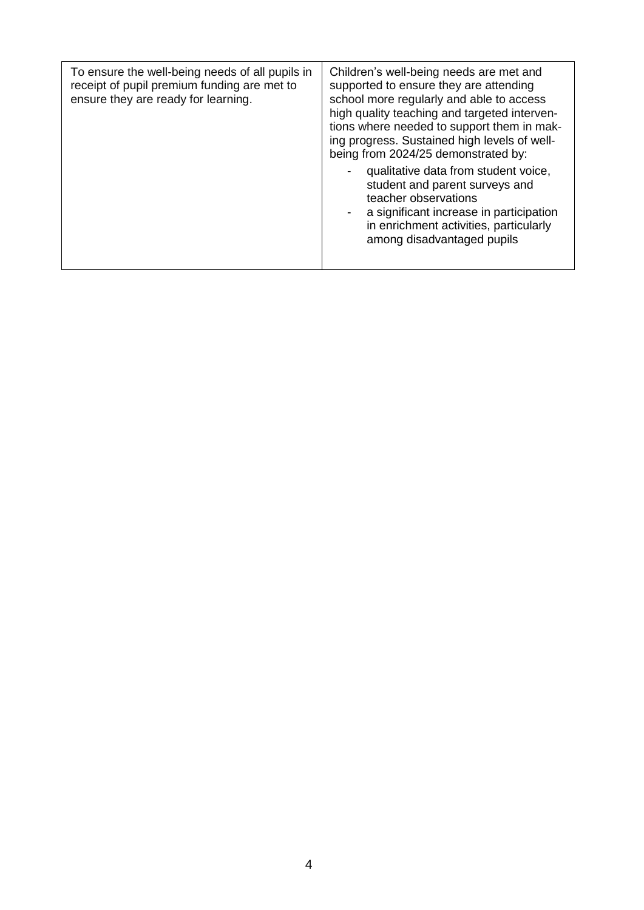| To ensure the well-being needs of all pupils in<br>receipt of pupil premium funding are met to<br>ensure they are ready for learning. | Children's well-being needs are met and<br>supported to ensure they are attending<br>school more regularly and able to access<br>high quality teaching and targeted interven-<br>tions where needed to support them in mak-<br>ing progress. Sustained high levels of well-<br>being from 2024/25 demonstrated by: |  |
|---------------------------------------------------------------------------------------------------------------------------------------|--------------------------------------------------------------------------------------------------------------------------------------------------------------------------------------------------------------------------------------------------------------------------------------------------------------------|--|
|                                                                                                                                       | qualitative data from student voice,<br>student and parent surveys and<br>teacher observations<br>a significant increase in participation<br>in enrichment activities, particularly<br>among disadvantaged pupils                                                                                                  |  |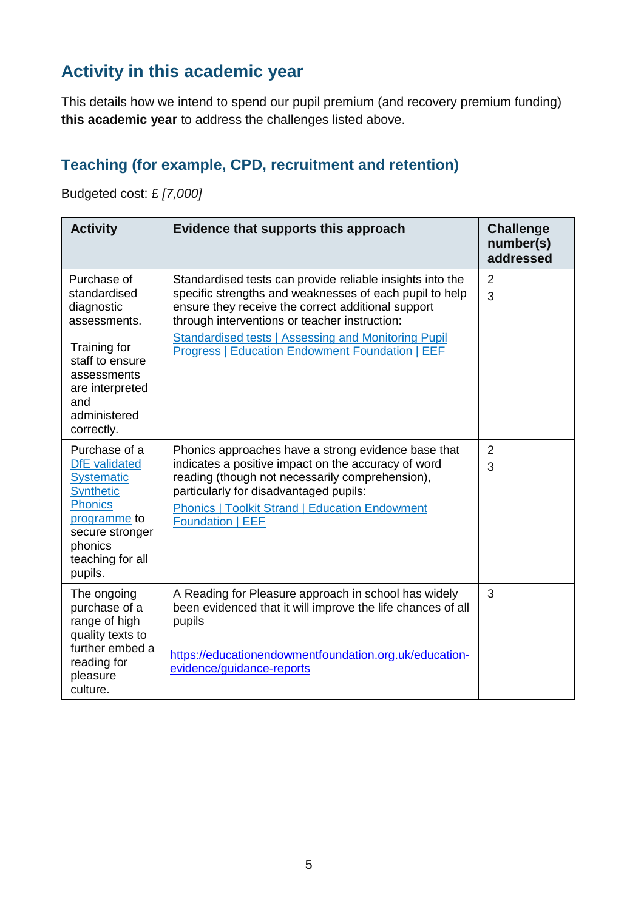## **Activity in this academic year**

This details how we intend to spend our pupil premium (and recovery premium funding) **this academic year** to address the challenges listed above.

#### **Teaching (for example, CPD, recruitment and retention)**

Budgeted cost: £ *[7,000]*

| <b>Activity</b>                                                                                                                                                               | Evidence that supports this approach                                                                                                                                                                                                                                                                                                         | <b>Challenge</b><br>number(s)<br>addressed |
|-------------------------------------------------------------------------------------------------------------------------------------------------------------------------------|----------------------------------------------------------------------------------------------------------------------------------------------------------------------------------------------------------------------------------------------------------------------------------------------------------------------------------------------|--------------------------------------------|
| Purchase of<br>standardised<br>diagnostic<br>assessments.<br>Training for<br>staff to ensure<br>assessments<br>are interpreted<br>and<br>administered<br>correctly.           | Standardised tests can provide reliable insights into the<br>specific strengths and weaknesses of each pupil to help<br>ensure they receive the correct additional support<br>through interventions or teacher instruction:<br><b>Standardised tests   Assessing and Monitoring Pupil</b><br>Progress   Education Endowment Foundation   EEF | 2<br>3                                     |
| Purchase of a<br><b>DfE</b> validated<br><b>Systematic</b><br><b>Synthetic</b><br><b>Phonics</b><br>programme to<br>secure stronger<br>phonics<br>teaching for all<br>pupils. | Phonics approaches have a strong evidence base that<br>indicates a positive impact on the accuracy of word<br>reading (though not necessarily comprehension),<br>particularly for disadvantaged pupils:<br><b>Phonics   Toolkit Strand   Education Endowment</b><br><b>Foundation   EEF</b>                                                  | $\overline{2}$<br>3                        |
| The ongoing<br>purchase of a<br>range of high<br>quality texts to<br>further embed a<br>reading for<br>pleasure<br>culture.                                                   | A Reading for Pleasure approach in school has widely<br>been evidenced that it will improve the life chances of all<br>pupils<br>https://educationendowmentfoundation.org.uk/education-<br>evidence/guidance-reports                                                                                                                         | 3                                          |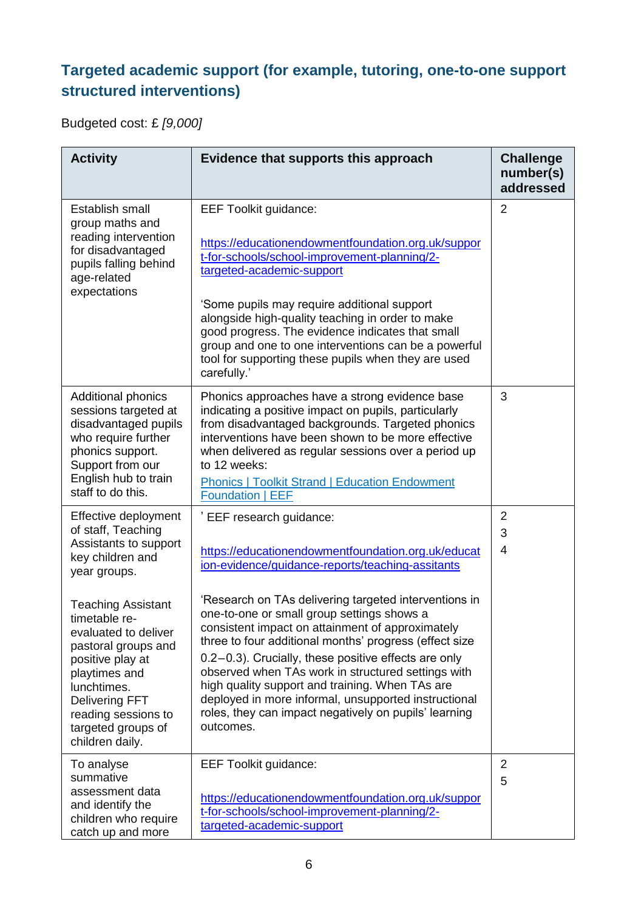### **Targeted academic support (for example, tutoring, one-to-one support structured interventions)**

Budgeted cost: £ *[9,000]*

| <b>Activity</b>                                                                                                                                                                       | Evidence that supports this approach                                                                                                                                                                                                                                                                                                                                                                                                                 | <b>Challenge</b><br>number(s)<br>addressed |
|---------------------------------------------------------------------------------------------------------------------------------------------------------------------------------------|------------------------------------------------------------------------------------------------------------------------------------------------------------------------------------------------------------------------------------------------------------------------------------------------------------------------------------------------------------------------------------------------------------------------------------------------------|--------------------------------------------|
| Establish small<br>group maths and<br>reading intervention<br>for disadvantaged<br>pupils falling behind<br>age-related<br>expectations                                               | <b>EEF Toolkit guidance:</b><br>https://educationendowmentfoundation.org.uk/suppor<br>t-for-schools/school-improvement-planning/2-<br>targeted-academic-support<br>'Some pupils may require additional support<br>alongside high-quality teaching in order to make<br>good progress. The evidence indicates that small<br>group and one to one interventions can be a powerful<br>tool for supporting these pupils when they are used<br>carefully.' | $\overline{2}$                             |
| <b>Additional phonics</b><br>sessions targeted at<br>disadvantaged pupils<br>who require further<br>phonics support.<br>Support from our<br>English hub to train<br>staff to do this. | Phonics approaches have a strong evidence base<br>indicating a positive impact on pupils, particularly<br>from disadvantaged backgrounds. Targeted phonics<br>interventions have been shown to be more effective<br>when delivered as regular sessions over a period up<br>to 12 weeks:<br><b>Phonics   Toolkit Strand   Education Endowment</b><br><b>Foundation   EEF</b>                                                                          | 3                                          |
| Effective deployment<br>of staff, Teaching<br>Assistants to support<br>key children and<br>year groups.<br><b>Teaching Assistant</b><br>timetable re-<br>evaluated to deliver         | EEF research guidance:<br>https://educationendowmentfoundation.org.uk/educat<br>ion-evidence/guidance-reports/teaching-assitants<br>'Research on TAs delivering targeted interventions in<br>one-to-one or small group settings shows a<br>consistent impact on attainment of approximately                                                                                                                                                          | $\overline{2}$<br>3<br>4                   |
| pastoral groups and<br>positive play at<br>playtimes and<br>lunchtimes.<br><b>Delivering FFT</b><br>reading sessions to<br>targeted groups of<br>children daily.                      | three to four additional months' progress (effect size<br>0.2-0.3). Crucially, these positive effects are only<br>observed when TAs work in structured settings with<br>high quality support and training. When TAs are<br>deployed in more informal, unsupported instructional<br>roles, they can impact negatively on pupils' learning<br>outcomes.                                                                                                |                                            |
| To analyse<br>summative<br>assessment data<br>and identify the<br>children who require<br>catch up and more                                                                           | <b>EEF Toolkit guidance:</b><br>https://educationendowmentfoundation.org.uk/suppor<br>t-for-schools/school-improvement-planning/2-<br>targeted-academic-support                                                                                                                                                                                                                                                                                      | $\overline{2}$<br>5                        |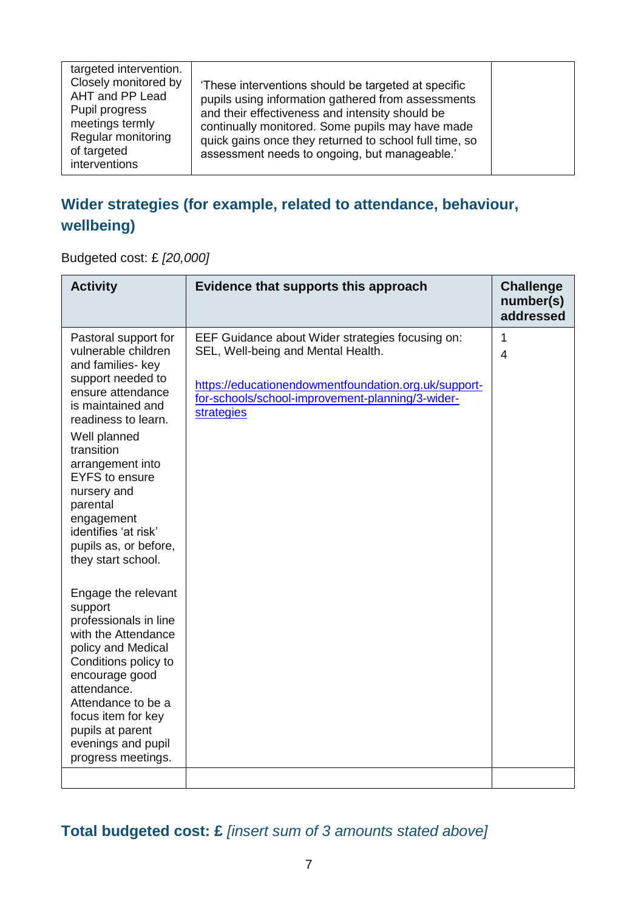| targeted intervention.<br>Closely monitored by<br>AHT and PP Lead<br>Pupil progress<br>meetings termly<br>Regular monitoring<br>of targeted<br>interventions | These interventions should be targeted at specific<br>pupils using information gathered from assessments<br>and their effectiveness and intensity should be<br>continually monitored. Some pupils may have made<br>quick gains once they returned to school full time, so<br>assessment needs to ongoing, but manageable.' |  |
|--------------------------------------------------------------------------------------------------------------------------------------------------------------|----------------------------------------------------------------------------------------------------------------------------------------------------------------------------------------------------------------------------------------------------------------------------------------------------------------------------|--|

### **Wider strategies (for example, related to attendance, behaviour, wellbeing)**

Budgeted cost: £ *[20,000]*

| <b>Activity</b>                                                                                                                                                                                                                                                                                                                                   | Evidence that supports this approach                                                                                                                                                                             | <b>Challenge</b><br>number(s)<br>addressed |
|---------------------------------------------------------------------------------------------------------------------------------------------------------------------------------------------------------------------------------------------------------------------------------------------------------------------------------------------------|------------------------------------------------------------------------------------------------------------------------------------------------------------------------------------------------------------------|--------------------------------------------|
| Pastoral support for<br>vulnerable children<br>and families- key<br>support needed to<br>ensure attendance<br>is maintained and<br>readiness to learn.<br>Well planned<br>transition<br>arrangement into<br><b>EYFS</b> to ensure<br>nursery and<br>parental<br>engagement<br>identifies 'at risk'<br>pupils as, or before,<br>they start school. | EEF Guidance about Wider strategies focusing on:<br>SEL, Well-being and Mental Health.<br>https://educationendowmentfoundation.org.uk/support-<br>for-schools/school-improvement-planning/3-wider-<br>strategies | 1<br>$\overline{4}$                        |
| Engage the relevant<br>support<br>professionals in line<br>with the Attendance<br>policy and Medical<br>Conditions policy to<br>encourage good<br>attendance.<br>Attendance to be a<br>focus item for key<br>pupils at parent<br>evenings and pupil<br>progress meetings.                                                                         |                                                                                                                                                                                                                  |                                            |

**Total budgeted cost: £** *[insert sum of 3 amounts stated above]*